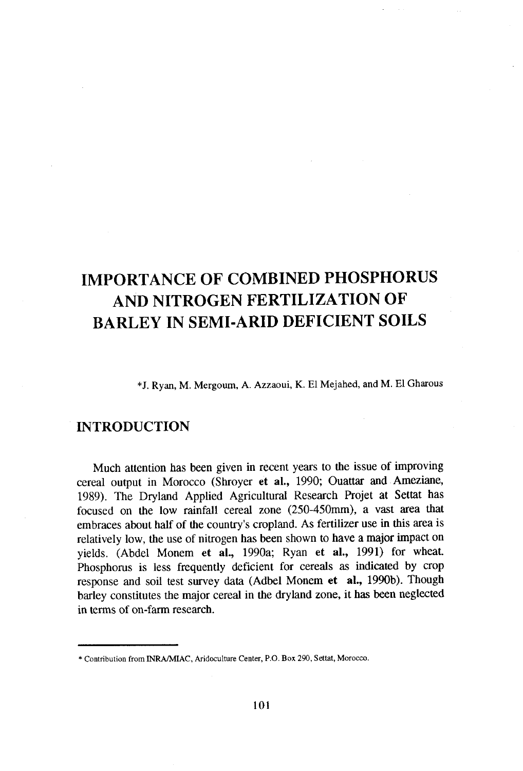# TMPORTANCE OF COMBINED PHOSPHORUS AND NITROGEN FERTILIZATION OF BARLEY IN SEMI.ARID DEFTCIENT SOILS

\*J. Ryan, M. Mergoum, A. Azzaoui, K. El Mejahed, and M' El Gharous

## INTRODUCTION

Much attention has been given in recent years to the issue of improving cereal output in Morocco (Shroyer et al., 1990; Ouattar and Ameziane, 1989). The Dryland Applied Agricultural Research Projet at Settat has focused on the low rainfall cereal zone (250-450mm), a vast area that embraces about half of the country's cropland. As fertilizer use in this area is relatively low, the use of nitrogen has been shown to have a major impact on yields. (Abdel Monem et al., 1990a; Ryan et al., 1991) for wheat. Phosphorus is less frequently deficient for cereals as indicated by crop response and soil test survey data (Adbel Monem et al., 1990b). Though barley constitutes the major cereal in the dryland zone, it has been neglected in terms of on-farm research.

<sup>\*</sup> Conribution from INRA,/MIAC, fuidoculture Center, P.O. Box 290, Sertat, Morocco,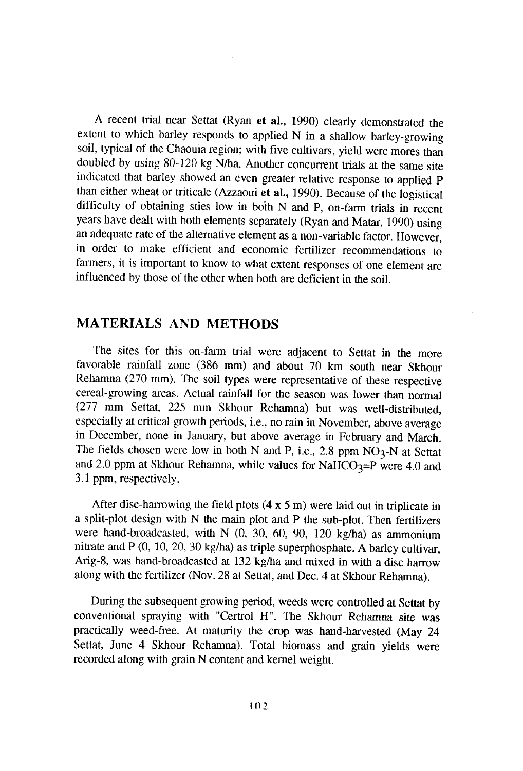A recent trial near Settat (Ryan et al., 1990) clearly demonstrated the extent to which barley responds to applied  $N$  in a shallow barley-growing soil, typical of the chaouia region; with five cultivars, yield were mores than doubled by using 80-120 kg N/ha. Another concurrent trials at the same site indicated that barley showed an even greater relative response to applied p than either wheat or triticale (Azzaoui et al., 1990). Because of the logistical difficulty of obtaining sties low in both N and P, on-farm trials in recent years have dealt with both elements separately (Ryan and Matar, 1990) using an adequate rate of the altematve element as a non-variable factor. However, in order to make efficient and economic fertilizer recommendations to farmers, it is important to know to what extent responses of one element are influenced by those of the other when both are deficient in the soil.

# MATERIALS AND METHODS

The sites for this on-farm trial were adjacent to Settat in the more favorable rainfall zone (386 mm) and about 70 km south near Skhour Rehamna (270 mm). The soil types were representative of these respective cereal-growing areas. Actual rainfall for the season was lower than normal (277 mm Settat, 225 mm Skhour Rehamna) but was well-distributed, especially at critical growth periods, i.e., no rain in November, above average in December, none in January, but above average in February and March. The fields chosen were low in both N and P, i.e., 2.8 ppm  $NO<sub>3</sub>$ -N at Settat and 2.0 ppm at Skhour Rehamna, while values for NaHCO<sub>3</sub>=P were 4.0 and 3.1ppm, respectively.

After disc-harrowing the field plots  $(4 \times 5 \text{ m})$  were laid out in triplicate in a split-plot design with N the main plot and P the sub-plot. Then fertilizers were hand-broadcasted, with N  $(0, 30, 60, 90, 120 \text{ kg/ha})$  as ammonium nitrate and P (0, 10, 20, 30 kg/ha) as triple superphosphate. A barley cultivar, Arig-8, was hand-broadcasted at 132 kg/ha and mixed in with a disc harrow along with the fertilizer (Nov. 28 at Settat, and Dec. 4 at Skhour Rehamna).

During the subsequent growing period, weeds were controlled at Settat by conventional spraying with "Certrol H". The Skhour Rehamna site was practically weed-free. At maturity the crop was hand-harvested (May 24 Settat, June 4 Skhour Rehamna). Total biomass and grain yields were recorded along with grain N content and kernel weight.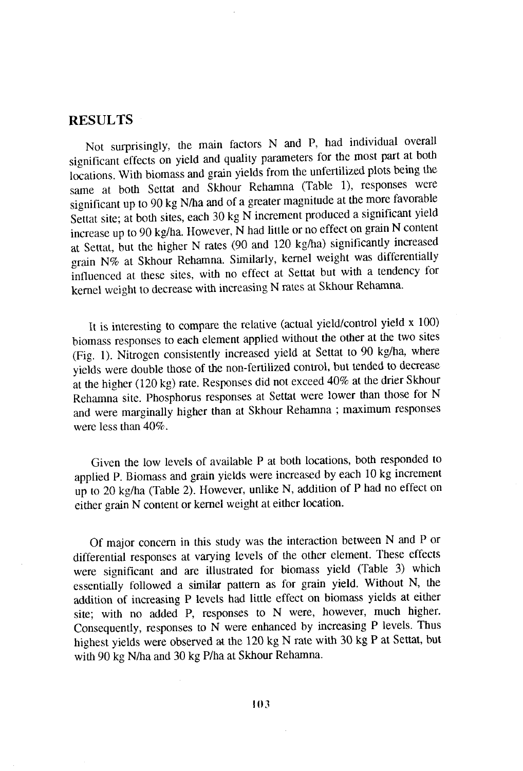## RESULTS

Not surprisingly, the main factors N and P, had individual overall significant effects on yield and quality parameters for the most part at both locations. with biomass and grain yields from the unfertilized plots being the sarne at both Settat and Skhour Rehamna (Table 1), responses were significant up to 90 kg N/ha and of a greater magnitude at the more favorable Settat site; at both sites, each 30 kg N increment produced a significant yield increase up to 90 kg/ha. However, N had little or no effect on grain N content at Settat, but the higher N rates (90 and 120 kg/ha) significantly increased grain N% at Skhour Rehamna. Similarly, kernel weight was differentially influenced at these sites, with no effect at Settat but with a tendency for kernel weight to decrease with increasing N rates at Skhour Rehamna.

It is interesting to comparc the relative (actual yield/control yield x 100) biomass responses to each element applied without the other at the two sites (Fig. 1). Nitrogen consistently increased yield at Settat to 90 kg/ha, where yields were double those of the non-fertilized control, but tended to decrease ât the higher (120 kg) rate. Responses did not exceed 407c at ùe drier Skhour Rehamna site. Phosphorus responses at Settat were lower than those for N and were marginally higher than at Skhour Rehamna ; maximum responses were less than  $40\%$ .

Given the low levels of available P at both locations, both responded to applied P. Biomass and grain yields were increased by each l0 kg increment up to 20 kg/ha (Table 2). However, unlike N, addition of P had no effect on either grain N content or kemel weight at either location.

Of major concern in this study was the interaction between N and P or differential responses at varying levels of the other element. These effects were significant and are illustrated for biomass yield (Table 3) which essentially followed a similar pattern as for grain yield. Without N, the addition of increasing P levels had little effect on biomass yields at either site; with no added P, responses to N were, however, much higher. Consequently, responses to N were enhanced by increasing P levels. Thus highest yields were observed at the 120 kg N rate with 30 kg P at Settat, but with 90 kg N/ha and 30 kg P/ha at Skhour Rehamna.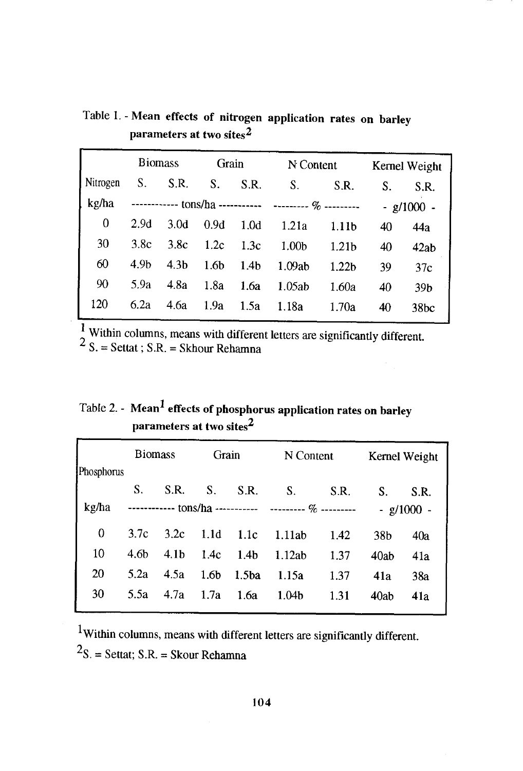|          | <b>Biomass</b> |                                                          | Grain            |                  | N Content         |                   | Kernel Weight  |      |
|----------|----------------|----------------------------------------------------------|------------------|------------------|-------------------|-------------------|----------------|------|
| Nitrogen | S.             | S.R.                                                     | S.               | S.R.             | S.                | S.R.              | S.             | S.R. |
| kg/ha    |                | ------------ tons/ha ----------- --------- $\%$ -------- |                  |                  |                   |                   | $-$ g/1000 $-$ |      |
| 0        | 2.9d           | 3.0 <sub>d</sub>                                         | 0.9d             | 1.0d             | 1.21a             | 1.11 <sub>b</sub> | 40             | 44a  |
| 30       | 3.8c           | 3.8c                                                     | 1.2c             | 1.3c             | 1.00 <sub>b</sub> | 1.21 <sub>b</sub> | 40             | 42ab |
| 60       | 4.9h           | 4.3 <sub>b</sub>                                         | 1.6 <sub>b</sub> | 1.4 <sub>b</sub> | 1.09ab            | 1.22 <sub>b</sub> | 39             | 37c  |
| 90       | 5.9a           | 4.8a                                                     | 1.8a             | 1.6a             | 1.05ab            | 1.60a             | 40             | 39b  |
| 120      | 6.2a           | 4.6a                                                     | 1.9a             | 1.5a             | 1.18a             | 1.70a             | 40             | 38bc |

Table 1. - Mean effects of nitrogen application rates on barlev parameters at two sites2

<sup>1</sup> Within columns, means with different letters are significantly different.<br>
<sup>2</sup> S. = Settat; S.R. = Skhour Rehamna

|  | Table 2. - Mean <sup>1</sup> effects of phosphorus application rates on barley |
|--|--------------------------------------------------------------------------------|
|  | parameters at two sites $^2$                                                   |

|            | <b>Biomass</b>                                                |                  | Grain            |                  | N Content         |      | Kernel Weight |      |
|------------|---------------------------------------------------------------|------------------|------------------|------------------|-------------------|------|---------------|------|
| Phosphorus |                                                               |                  |                  |                  |                   |      |               |      |
|            | S.                                                            | S.R.             | S.               | S.R.             | S.                | S.R. | S.            | S.R. |
| kg/ha      | ------------ tons/ha -----------     --------- $\%$ --------- |                  |                  |                  |                   |      | $- g/1000 -$  |      |
| 0          | 3.7c                                                          | 3.2c             | - 1.1d           | 1.1c             | 1.11ab            | 1.42 | 38b           | 40a  |
| 10         | 4.6b                                                          | 4.1 <sub>b</sub> | 1.4c             | 1.4 <sub>b</sub> | 1.12ab            | 1.37 | 40ab          | 41a  |
| 20         | 5.2a                                                          | 4.5a             | 1.6 <sub>b</sub> | 1.5ba            | 1.15a             | 1.37 | 41a           | 38a  |
| 30         | 5.5a                                                          | 4.7a             | 1.7a             | 1.6a             | 1.04 <sub>b</sub> | 1.31 | 40ab          | 41a  |
|            |                                                               |                  |                  |                  |                   |      |               |      |

 $1$ Within columns, means with different letters are significantly different.  $2s. = Settat; S.R. = Skour Rehamna$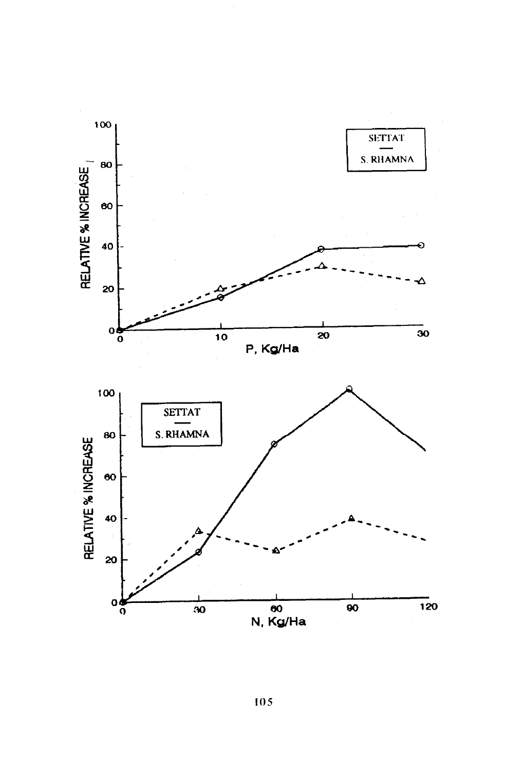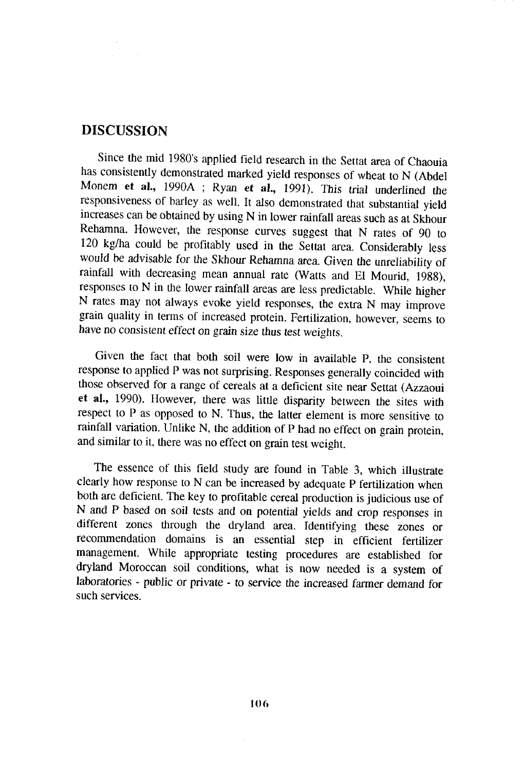#### DISCUSSION

since the mid 1980's applied field research in the setat area of chaouia has consistently demonstrated marked yield responses of wheat to N (Abdel Monem et al., 1990A ; Ryan et al., 1991). This trial underlined the responsiveness of barley as well. It also demonstrated that substantial yield increases can be obtained by using N in lower rainfall areas such as at Skhour Rehamna. However, the response curves suggest that N rates of 90 to 120 kg/ha could be profitably used in the Settat area. Considerably less would be advisable for the Skhour Rehamna area. Given the unreliability of rainfall with decreasing mean annual rate (Watts and El Mourid, 1988), responses to N in the lower rainfall areas are less predictable. while higher N rates may not always evoke yield responses, tie extra N may improve grain quality in terms of increased protein. Fertilization, however, seems to have no consistent effect on grain size thus test weights.

Given the fact that both soil were low in available p, the consistent response to applied P was not surprising. Responses generally coincided with those observed for a range of cereals at a deficient site near Settat (Azzaoui et al., 1990). However, there was little disparity between the sites with respect to P as opposed to N. Thus, the latter element is more sensitive to rainfall variation. Unlike N, the addition of P had no effect on grain protein, and similar to it, there was no effect on grain test weight.

The essence of this field study are found in Table 3, which illustrate clearly how response to N can be increased by adequate P fertilization when both are deficient. The key to profitable cereal production is judicious use of N and P based on soil tests and on potential yields and crop responses in different zones through the dryland area. Identifying these zones or recommendation domains is an essential step in eflicient fertilizer management. while appropriate testing procedures are established for dryland Moroccan soil conditions, what is now needed is a system of laboratories - public or private - to service the increased farmer demand for such services.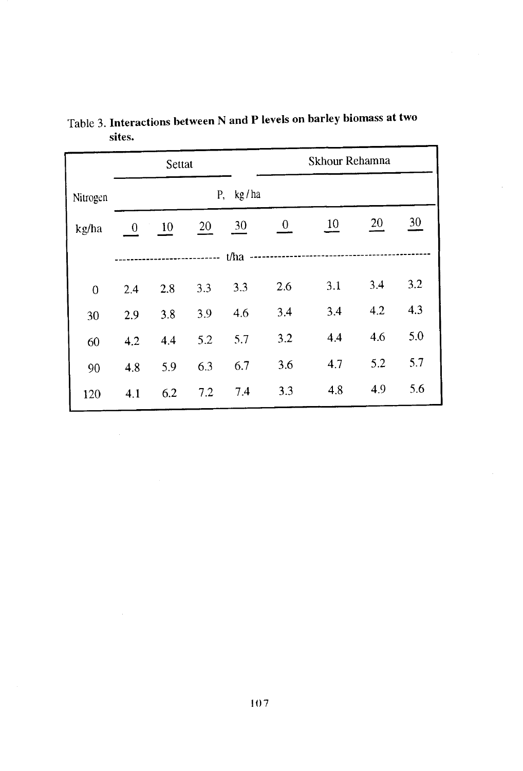|              |          | Settat |     |             |                | Skhour Rehamna |     |     |  |  |
|--------------|----------|--------|-----|-------------|----------------|----------------|-----|-----|--|--|
| Nitrogen     |          |        |     | kg/ha<br>Ρ, |                |                |     |     |  |  |
| kg/ha        | $\bf{0}$ | 10     | 20  | 30          | $\overline{0}$ | 10             | 20  | 30  |  |  |
| ------- t/ha |          |        |     |             |                |                |     |     |  |  |
| $\mathbf{0}$ | 2.4      | 2.8    | 3.3 | 3.3         | 2.6            | 3.1            | 3.4 | 3.2 |  |  |
| 30           | 2.9      | 3.8    | 3.9 | 4.6         | 3.4            | 3.4            | 4.2 | 4.3 |  |  |
| 60           | 4.2      | 4.4    | 5.2 | 5.7         | 3.2            | 4,4            | 4.6 | 5.0 |  |  |
| 90           | 4.8      | 5.9    | 6.3 | 6.7         | 3.6            | 4.7            | 5.2 | 5.7 |  |  |
| 120          | 4.1      | 6.2    | 7.2 | 7.4         | 3.3            | 4.8            | 4.9 | 5.6 |  |  |

Table 3. Interactions between N and P levels on barley biomass at two sites.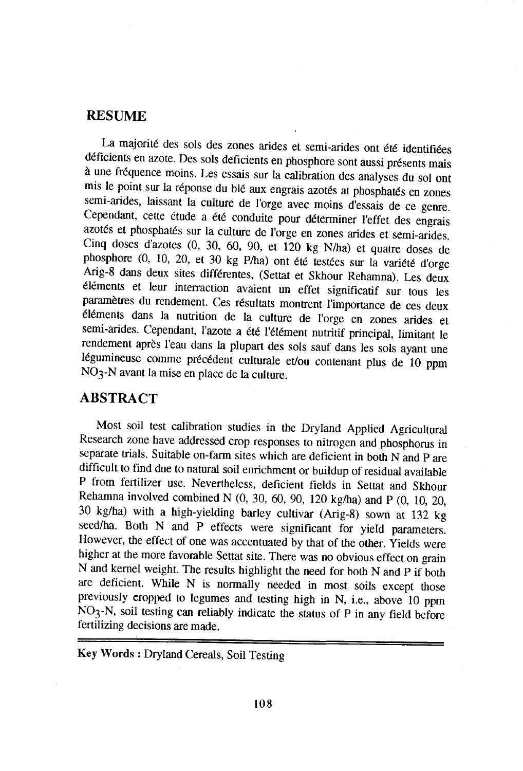### RESUME

La majorité des sols des zones arides et semi-arides ont été identifiées<br>déficients en azote. Des sols deficients en phosphore sont aussi présents mais<br>à une fréquence moins. Les essais sur la calibration des analyses du s azotés et phosphatés sur la culture de l'orge en zones arides et semi-arides.<br>Cinq doses d'azotes  $(0, 30, 60, 90, et 120 \text{ kg N/ha})$  et quatre doses de<br>phosphore  $(0, 10, 20, et 30 \text{ kg P/ha})$  ont été testées sur la variété d'orge

# ABSTRACT

Most soil test calibration srudies in the Dryland Applied Agricultural Research zone have addressed crop responses to nitrogen and phosphorus in separate trials. Suitable on-farm sites which are deficient in both N and P are difficult to find due to natural soil enrichment or buildup of residual available P from fertilizer use. Nevertheless, deficient fields in Settat and Skhour Rehamna involved combined N (0, 30, 60, 90, 120 kg/ha) and p (0, 70,20, 30 kg/ha) with a high-yielding barley cultivar (Arig-g) sown ar 132 kg seed/ha. Both N and P effects were significant for yield parameters. However, the effect of one was accentuated by that of the other. Yields were higher at the more favorable Settat siæ. There was no obvious effect on grain N and kernel weight. The results highlight the need for both N and p if both are deficient. while N is normally needed in most soils except those previously cropped to legumes and testing high in N, i.e., above 10 ppm  $NO<sub>3</sub>-N$ , soil testing can reliably indicate the status of P in any field before fertilizing decisions are made.

Key Words : Dryland Cereals, Soil Testins